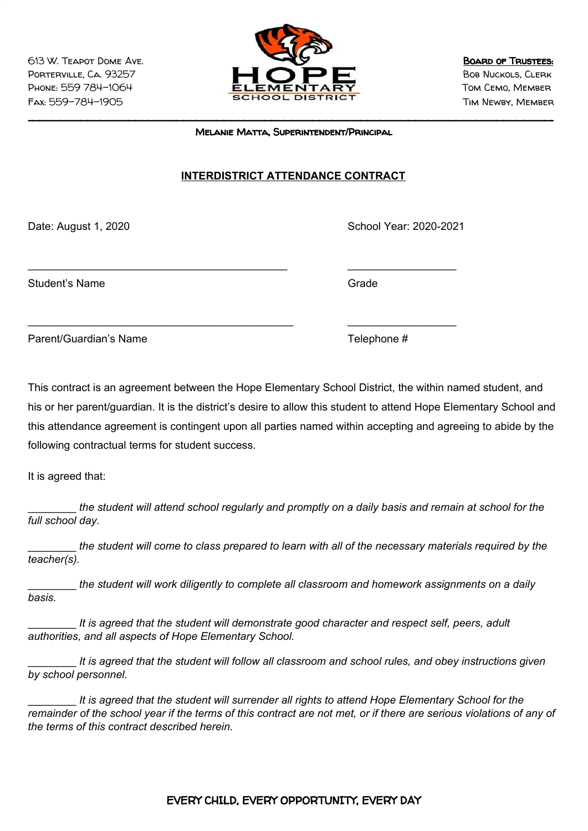

\_\_\_\_\_\_\_\_\_\_\_\_\_\_\_\_\_\_\_\_\_\_\_\_\_\_\_\_\_\_\_\_\_\_\_\_\_\_\_\_\_\_\_\_\_\_\_\_\_\_\_\_\_\_\_\_\_\_\_\_\_\_\_\_\_\_\_\_\_\_\_\_\_\_\_\_\_ Melanie Matta, Superintendent/Principal

## **INTERDISTRICT ATTENDANCE CONTRACT**

\_\_\_\_\_\_\_\_\_\_\_\_\_\_\_\_\_\_\_\_\_\_\_\_\_\_\_\_\_\_\_\_\_\_\_\_\_\_\_\_\_\_\_ \_\_\_\_\_\_\_\_\_\_\_\_\_\_\_\_\_\_

\_\_\_\_\_\_\_\_\_\_\_\_\_\_\_\_\_\_\_\_\_\_\_\_\_\_\_\_\_\_\_\_\_\_\_\_\_\_\_\_\_\_\_\_ \_\_\_\_\_\_\_\_\_\_\_\_\_\_\_\_\_\_

Date: August 1, 2020 **School Year: 2020-2021** 

Student's Name Grade

Parent/Guardian's Name Telephone #

This contract is an agreement between the Hope Elementary School District, the within named student, and his or her parent/guardian. It is the district's desire to allow this student to attend Hope Elementary School and this attendance agreement is contingent upon all parties named within accepting and agreeing to abide by the following contractual terms for student success.

It is agreed that:

the student will attend school regularly and promptly on a daily basis and remain at school for the *full school day.*

the student will come to class prepared to learn with all of the necessary materials required by the *teacher(s).*

\_\_\_\_\_\_\_\_ *the student will work diligently to complete all classroom and homework assignments on a daily basis.*

\_\_\_\_\_\_\_\_ *It is agreed that the student will demonstrate good character and respect self, peers, adult authorities, and all aspects of Hope Elementary School.*

It is agreed that the student will follow all classroom and school rules, and obey instructions given *by school personnel.*

\_\_\_\_\_\_\_\_ *It is agreed that the student will surrender all rights to attend Hope Elementary School for the* remainder of the school year if the terms of this contract are not met, or if there are serious violations of any of *the terms of this contract described herein.*